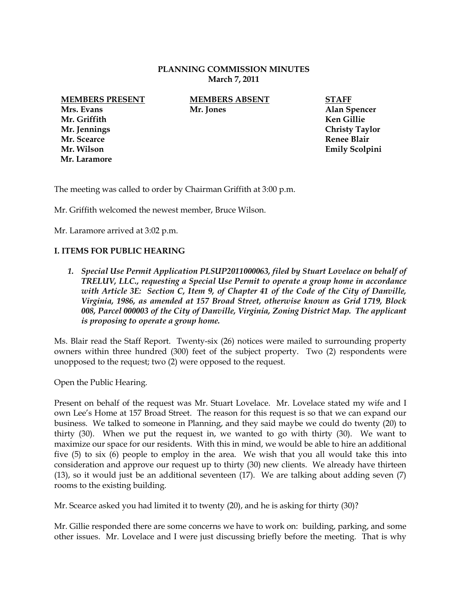## **PLANNING COMMISSION MINUTES March 7, 2011**

**Mrs. Evans Mr. Jones Alan Spencer Mr. Griffith Ken Gillie Mr. Scearce Renee Blair Mr. Laramore**

**MEMBERS PRESENT MEMBERS ABSENT STAFF**

**Mr. Jennings Christy Taylor Mr. Wilson Emily Scolpini** 

The meeting was called to order by Chairman Griffith at 3:00 p.m.

Mr. Griffith welcomed the newest member, Bruce Wilson.

Mr. Laramore arrived at 3:02 p.m.

## **I. ITEMS FOR PUBLIC HEARING**

*1. Special Use Permit Application PLSUP2011000063, filed by Stuart Lovelace on behalf of TRELUV, LLC., requesting a Special Use Permit to operate a group home in accordance with Article 3E: Section C, Item 9, of Chapter 41 of the Code of the City of Danville, Virginia, 1986, as amended at 157 Broad Street, otherwise known as Grid 1719, Block 008, Parcel 000003 of the City of Danville, Virginia, Zoning District Map. The applicant is proposing to operate a group home.*

Ms. Blair read the Staff Report. Twenty-six (26) notices were mailed to surrounding property owners within three hundred (300) feet of the subject property. Two (2) respondents were unopposed to the request; two (2) were opposed to the request.

Open the Public Hearing.

Present on behalf of the request was Mr. Stuart Lovelace. Mr. Lovelace stated my wife and I own Lee's Home at 157 Broad Street. The reason for this request is so that we can expand our business. We talked to someone in Planning, and they said maybe we could do twenty (20) to thirty (30). When we put the request in, we wanted to go with thirty (30). We want to maximize our space for our residents. With this in mind, we would be able to hire an additional five (5) to six (6) people to employ in the area. We wish that you all would take this into consideration and approve our request up to thirty (30) new clients. We already have thirteen (13), so it would just be an additional seventeen (17). We are talking about adding seven (7) rooms to the existing building.

Mr. Scearce asked you had limited it to twenty (20), and he is asking for thirty (30)?

Mr. Gillie responded there are some concerns we have to work on: building, parking, and some other issues. Mr. Lovelace and I were just discussing briefly before the meeting. That is why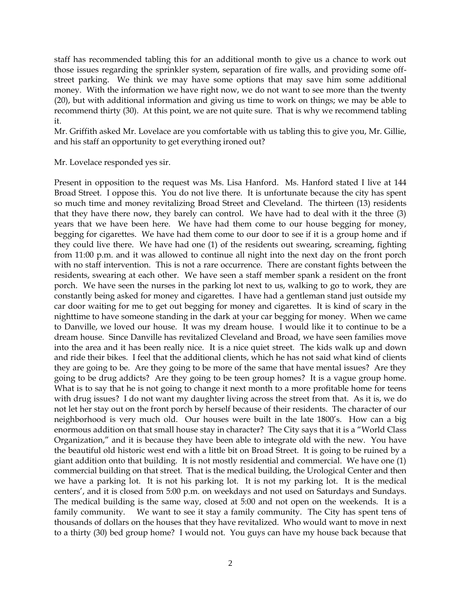staff has recommended tabling this for an additional month to give us a chance to work out those issues regarding the sprinkler system, separation of fire walls, and providing some offstreet parking. We think we may have some options that may save him some additional money. With the information we have right now, we do not want to see more than the twenty (20), but with additional information and giving us time to work on things; we may be able to recommend thirty (30). At this point, we are not quite sure. That is why we recommend tabling it.

Mr. Griffith asked Mr. Lovelace are you comfortable with us tabling this to give you, Mr. Gillie, and his staff an opportunity to get everything ironed out?

Mr. Lovelace responded yes sir.

Present in opposition to the request was Ms. Lisa Hanford. Ms. Hanford stated I live at 144 Broad Street. I oppose this. You do not live there. It is unfortunate because the city has spent so much time and money revitalizing Broad Street and Cleveland. The thirteen (13) residents that they have there now, they barely can control. We have had to deal with it the three (3) years that we have been here. We have had them come to our house begging for money, begging for cigarettes. We have had them come to our door to see if it is a group home and if they could live there. We have had one (1) of the residents out swearing, screaming, fighting from 11:00 p.m. and it was allowed to continue all night into the next day on the front porch with no staff intervention. This is not a rare occurrence. There are constant fights between the residents, swearing at each other. We have seen a staff member spank a resident on the front porch. We have seen the nurses in the parking lot next to us, walking to go to work, they are constantly being asked for money and cigarettes. I have had a gentleman stand just outside my car door waiting for me to get out begging for money and cigarettes. It is kind of scary in the nighttime to have someone standing in the dark at your car begging for money. When we came to Danville, we loved our house. It was my dream house. I would like it to continue to be a dream house. Since Danville has revitalized Cleveland and Broad, we have seen families move into the area and it has been really nice. It is a nice quiet street. The kids walk up and down and ride their bikes. I feel that the additional clients, which he has not said what kind of clients they are going to be. Are they going to be more of the same that have mental issues? Are they going to be drug addicts? Are they going to be teen group homes? It is a vague group home. What is to say that he is not going to change it next month to a more profitable home for teens with drug issues? I do not want my daughter living across the street from that. As it is, we do not let her stay out on the front porch by herself because of their residents. The character of our neighborhood is very much old. Our houses were built in the late 1800's. How can a big enormous addition on that small house stay in character? The City says that it is a "World Class Organization," and it is because they have been able to integrate old with the new. You have the beautiful old historic west end with a little bit on Broad Street. It is going to be ruined by a giant addition onto that building. It is not mostly residential and commercial. We have one (1) commercial building on that street. That is the medical building, the Urological Center and then we have a parking lot. It is not his parking lot. It is not my parking lot. It is the medical centers', and it is closed from 5:00 p.m. on weekdays and not used on Saturdays and Sundays. The medical building is the same way, closed at 5:00 and not open on the weekends. It is a family community. We want to see it stay a family community. The City has spent tens of thousands of dollars on the houses that they have revitalized. Who would want to move in next to a thirty (30) bed group home? I would not. You guys can have my house back because that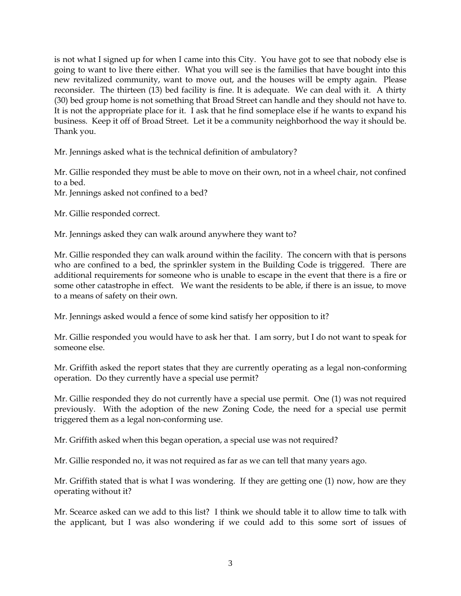is not what I signed up for when I came into this City. You have got to see that nobody else is going to want to live there either. What you will see is the families that have bought into this new revitalized community, want to move out, and the houses will be empty again. Please reconsider. The thirteen (13) bed facility is fine. It is adequate. We can deal with it. A thirty (30) bed group home is not something that Broad Street can handle and they should not have to. It is not the appropriate place for it. I ask that he find someplace else if he wants to expand his business. Keep it off of Broad Street. Let it be a community neighborhood the way it should be. Thank you.

Mr. Jennings asked what is the technical definition of ambulatory?

Mr. Gillie responded they must be able to move on their own, not in a wheel chair, not confined to a bed.

Mr. Jennings asked not confined to a bed?

Mr. Gillie responded correct.

Mr. Jennings asked they can walk around anywhere they want to?

Mr. Gillie responded they can walk around within the facility. The concern with that is persons who are confined to a bed, the sprinkler system in the Building Code is triggered. There are additional requirements for someone who is unable to escape in the event that there is a fire or some other catastrophe in effect. We want the residents to be able, if there is an issue, to move to a means of safety on their own.

Mr. Jennings asked would a fence of some kind satisfy her opposition to it?

Mr. Gillie responded you would have to ask her that. I am sorry, but I do not want to speak for someone else.

Mr. Griffith asked the report states that they are currently operating as a legal non-conforming operation. Do they currently have a special use permit?

Mr. Gillie responded they do not currently have a special use permit. One (1) was not required previously. With the adoption of the new Zoning Code, the need for a special use permit triggered them as a legal non-conforming use.

Mr. Griffith asked when this began operation, a special use was not required?

Mr. Gillie responded no, it was not required as far as we can tell that many years ago.

Mr. Griffith stated that is what I was wondering. If they are getting one (1) now, how are they operating without it?

Mr. Scearce asked can we add to this list? I think we should table it to allow time to talk with the applicant, but I was also wondering if we could add to this some sort of issues of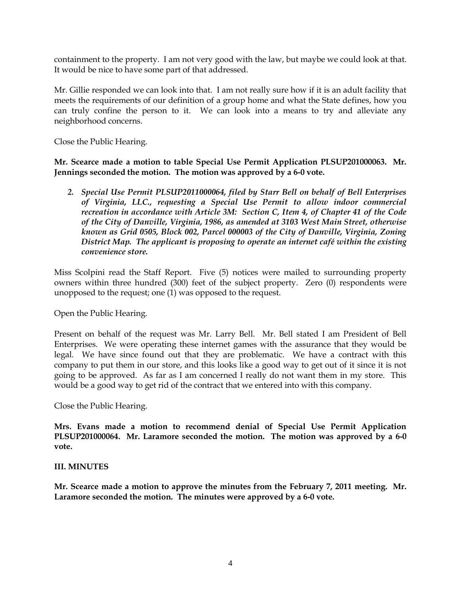containment to the property. I am not very good with the law, but maybe we could look at that. It would be nice to have some part of that addressed.

Mr. Gillie responded we can look into that. I am not really sure how if it is an adult facility that meets the requirements of our definition of a group home and what the State defines, how you can truly confine the person to it. We can look into a means to try and alleviate any neighborhood concerns.

Close the Public Hearing.

**Mr. Scearce made a motion to table Special Use Permit Application PLSUP201000063. Mr. Jennings seconded the motion. The motion was approved by a 6-0 vote.** 

*2. Special Use Permit PLSUP2011000064, filed by Starr Bell on behalf of Bell Enterprises of Virginia, LLC., requesting a Special Use Permit to allow indoor commercial recreation in accordance with Article 3M: Section C, Item 4, of Chapter 41 of the Code of the City of Danville, Virginia, 1986, as amended at 3103 West Main Street, otherwise known as Grid 0505, Block 002, Parcel 000003 of the City of Danville, Virginia, Zoning District Map. The applicant is proposing to operate an internet café within the existing convenience store.*

Miss Scolpini read the Staff Report. Five (5) notices were mailed to surrounding property owners within three hundred (300) feet of the subject property. Zero (0) respondents were unopposed to the request; one (1) was opposed to the request.

Open the Public Hearing.

Present on behalf of the request was Mr. Larry Bell. Mr. Bell stated I am President of Bell Enterprises. We were operating these internet games with the assurance that they would be legal. We have since found out that they are problematic. We have a contract with this company to put them in our store, and this looks like a good way to get out of it since it is not going to be approved. As far as I am concerned I really do not want them in my store. This would be a good way to get rid of the contract that we entered into with this company.

Close the Public Hearing.

**Mrs. Evans made a motion to recommend denial of Special Use Permit Application PLSUP201000064. Mr. Laramore seconded the motion. The motion was approved by a 6-0 vote.** 

## **III. MINUTES**

**Mr. Scearce made a motion to approve the minutes from the February 7, 2011 meeting. Mr. Laramore seconded the motion. The minutes were approved by a 6-0 vote.**